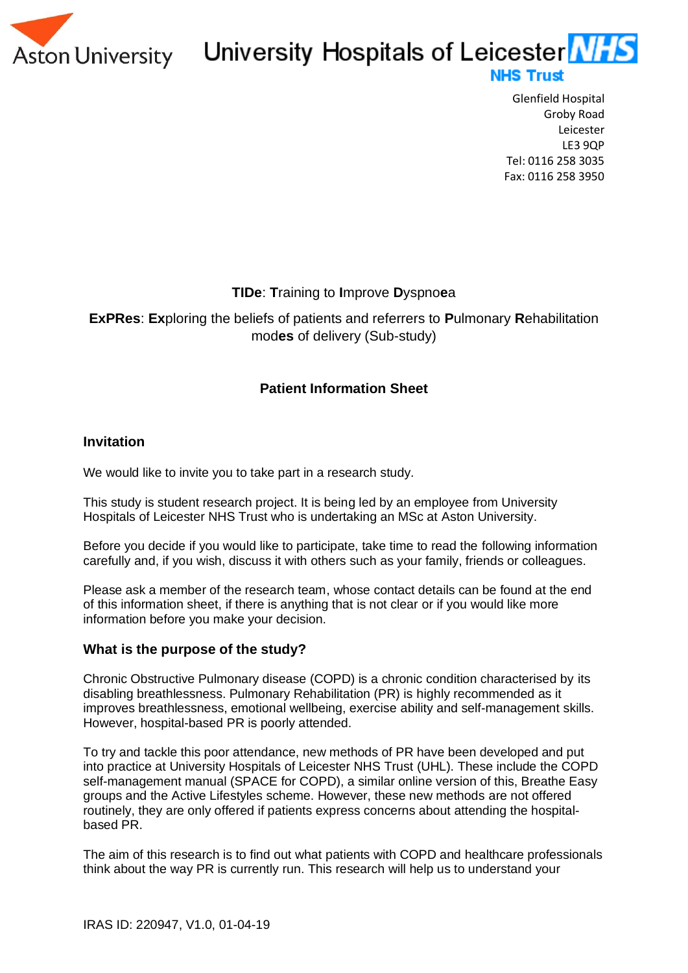

# University Hospitals of Leicester NHS **NHS Trust**

Glenfield Hospital Groby Road Leicester LE3 9QP Tel: 0116 258 3035 Fax: 0116 258 3950

# **TIDe**: **T**raining to **I**mprove **D**yspno**e**a

**ExPRes**: **Ex**ploring the beliefs of patients and referrers to **P**ulmonary **R**ehabilitation mod**es** of delivery (Sub-study)

# **Patient Information Sheet**

#### **Invitation**

We would like to invite you to take part in a research study.

This study is student research project. It is being led by an employee from University Hospitals of Leicester NHS Trust who is undertaking an MSc at Aston University.

Before you decide if you would like to participate, take time to read the following information carefully and, if you wish, discuss it with others such as your family, friends or colleagues.

Please ask a member of the research team, whose contact details can be found at the end of this information sheet, if there is anything that is not clear or if you would like more information before you make your decision.

#### **What is the purpose of the study?**

Chronic Obstructive Pulmonary disease (COPD) is a chronic condition characterised by its disabling breathlessness. Pulmonary Rehabilitation (PR) is highly recommended as it improves breathlessness, emotional wellbeing, exercise ability and self-management skills. However, hospital-based PR is poorly attended.

To try and tackle this poor attendance, new methods of PR have been developed and put into practice at University Hospitals of Leicester NHS Trust (UHL). These include the COPD self-management manual (SPACE for COPD), a similar online version of this, Breathe Easy groups and the Active Lifestyles scheme. However, these new methods are not offered routinely, they are only offered if patients express concerns about attending the hospitalbased PR.

The aim of this research is to find out what patients with COPD and healthcare professionals think about the way PR is currently run. This research will help us to understand your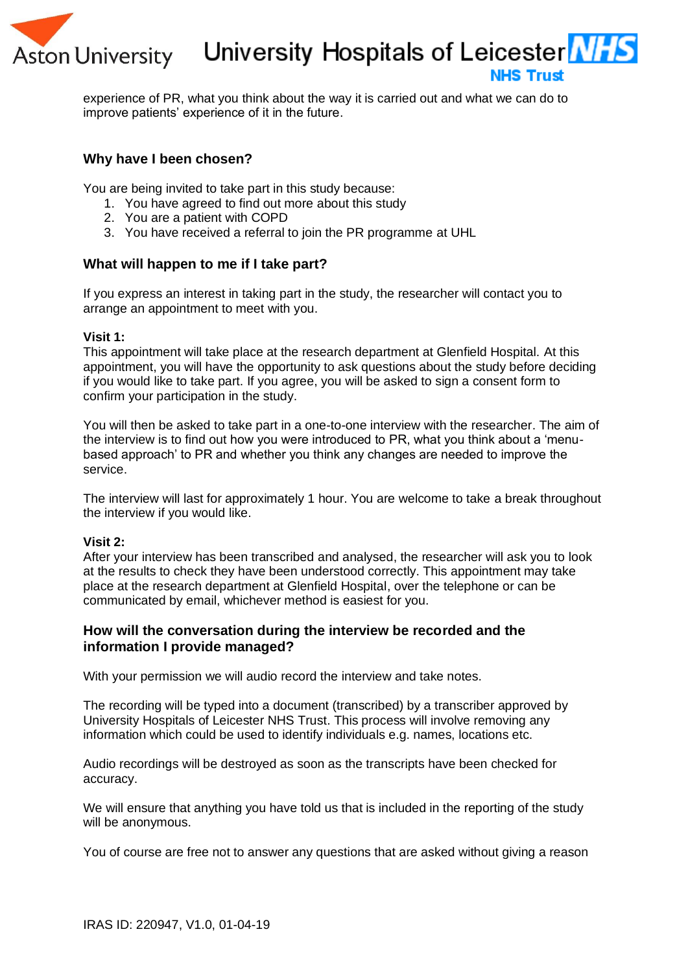

University Hospitals of Leicester Ni

# **NHS Trust**

experience of PR, what you think about the way it is carried out and what we can do to improve patients' experience of it in the future.

#### **Why have I been chosen?**

You are being invited to take part in this study because:

- 1. You have agreed to find out more about this study
- 2. You are a patient with COPD
- 3. You have received a referral to join the PR programme at UHL

#### **What will happen to me if I take part?**

If you express an interest in taking part in the study, the researcher will contact you to arrange an appointment to meet with you.

#### **Visit 1:**

This appointment will take place at the research department at Glenfield Hospital. At this appointment, you will have the opportunity to ask questions about the study before deciding if you would like to take part. If you agree, you will be asked to sign a consent form to confirm your participation in the study.

You will then be asked to take part in a one-to-one interview with the researcher. The aim of the interview is to find out how you were introduced to PR, what you think about a 'menubased approach' to PR and whether you think any changes are needed to improve the service.

The interview will last for approximately 1 hour. You are welcome to take a break throughout the interview if you would like.

#### **Visit 2:**

After your interview has been transcribed and analysed, the researcher will ask you to look at the results to check they have been understood correctly. This appointment may take place at the research department at Glenfield Hospital, over the telephone or can be communicated by email, whichever method is easiest for you.

#### **How will the conversation during the interview be recorded and the information I provide managed?**

With your permission we will audio record the interview and take notes.

The recording will be typed into a document (transcribed) by a transcriber approved by University Hospitals of Leicester NHS Trust. This process will involve removing any information which could be used to identify individuals e.g. names, locations etc.

Audio recordings will be destroyed as soon as the transcripts have been checked for accuracy.

We will ensure that anything you have told us that is included in the reporting of the study will be anonymous.

You of course are free not to answer any questions that are asked without giving a reason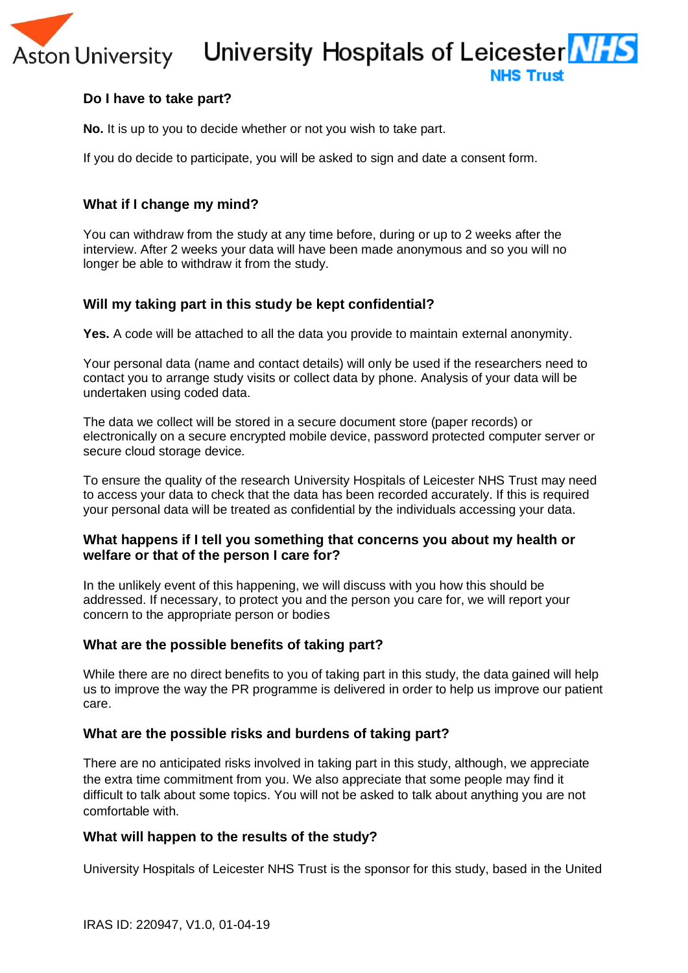# University Hospitals of Leicester Ni

**NHS Trust** 

# **Do I have to take part?**

**Aston University** 

**No.** It is up to you to decide whether or not you wish to take part.

If you do decide to participate, you will be asked to sign and date a consent form.

### **What if I change my mind?**

You can withdraw from the study at any time before, during or up to 2 weeks after the interview. After 2 weeks your data will have been made anonymous and so you will no longer be able to withdraw it from the study.

#### **Will my taking part in this study be kept confidential?**

**Yes.** A code will be attached to all the data you provide to maintain external anonymity.

Your personal data (name and contact details) will only be used if the researchers need to contact you to arrange study visits or collect data by phone. Analysis of your data will be undertaken using coded data.

The data we collect will be stored in a secure document store (paper records) or electronically on a secure encrypted mobile device, password protected computer server or secure cloud storage device.

To ensure the quality of the research University Hospitals of Leicester NHS Trust may need to access your data to check that the data has been recorded accurately. If this is required your personal data will be treated as confidential by the individuals accessing your data.

#### **What happens if I tell you something that concerns you about my health or welfare or that of the person I care for?**

In the unlikely event of this happening, we will discuss with you how this should be addressed. If necessary, to protect you and the person you care for, we will report your concern to the appropriate person or bodies

#### **What are the possible benefits of taking part?**

While there are no direct benefits to you of taking part in this study, the data gained will help us to improve the way the PR programme is delivered in order to help us improve our patient care.

#### **What are the possible risks and burdens of taking part?**

There are no anticipated risks involved in taking part in this study, although, we appreciate the extra time commitment from you. We also appreciate that some people may find it difficult to talk about some topics. You will not be asked to talk about anything you are not comfortable with.

#### **What will happen to the results of the study?**

University Hospitals of Leicester NHS Trust is the sponsor for this study, based in the United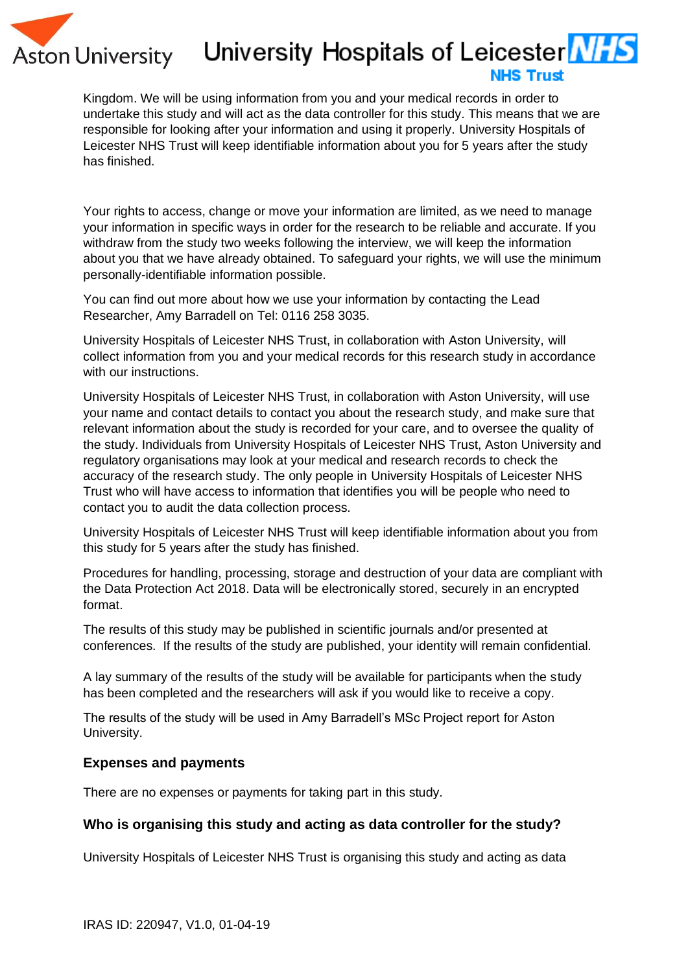

# University Hospitals of Leicester **NES**

# **NHS Trust**

Kingdom. We will be using information from you and your medical records in order to undertake this study and will act as the data controller for this study. This means that we are responsible for looking after your information and using it properly. University Hospitals of Leicester NHS Trust will keep identifiable information about you for 5 years after the study has finished.

Your rights to access, change or move your information are limited, as we need to manage your information in specific ways in order for the research to be reliable and accurate. If you withdraw from the study two weeks following the interview, we will keep the information about you that we have already obtained. To safeguard your rights, we will use the minimum personally-identifiable information possible.

You can find out more about how we use your information by contacting the Lead Researcher, Amy Barradell on Tel: 0116 258 3035.

University Hospitals of Leicester NHS Trust, in collaboration with Aston University, will collect information from you and your medical records for this research study in accordance with our instructions.

University Hospitals of Leicester NHS Trust, in collaboration with Aston University, will use your name and contact details to contact you about the research study, and make sure that relevant information about the study is recorded for your care, and to oversee the quality of the study. Individuals from University Hospitals of Leicester NHS Trust, Aston University and regulatory organisations may look at your medical and research records to check the accuracy of the research study. The only people in University Hospitals of Leicester NHS Trust who will have access to information that identifies you will be people who need to contact you to audit the data collection process.

University Hospitals of Leicester NHS Trust will keep identifiable information about you from this study for 5 years after the study has finished.

Procedures for handling, processing, storage and destruction of your data are compliant with the Data Protection Act 2018. Data will be electronically stored, securely in an encrypted format.

The results of this study may be published in scientific journals and/or presented at conferences. If the results of the study are published, your identity will remain confidential.

A lay summary of the results of the study will be available for participants when the study has been completed and the researchers will ask if you would like to receive a copy.

The results of the study will be used in Amy Barradell's MSc Project report for Aston University.

# **Expenses and payments**

There are no expenses or payments for taking part in this study.

# **Who is organising this study and acting as data controller for the study?**

University Hospitals of Leicester NHS Trust is organising this study and acting as data